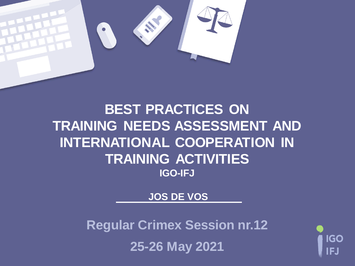

#### **BEST PRACTICES ON TRAINING NEEDS ASSESSMENT AND INTERNATIONAL COOPERATION IN TRAINING ACTIVITIES IGO-IFJ**

#### **JOS DE VOS**

**Regular Crimex Session nr.12 25-26 May 2021** 

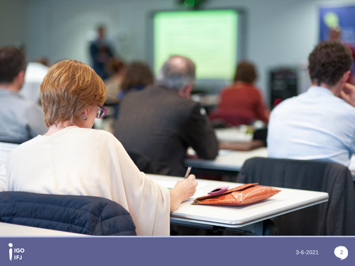

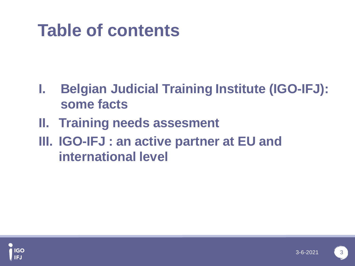## **Table of contents**

- **I. Belgian Judicial Training Institute (IGO-IFJ): some facts**
- **II. Training needs assesment**
- **III. IGO-IFJ : an active partner at EU and international level**

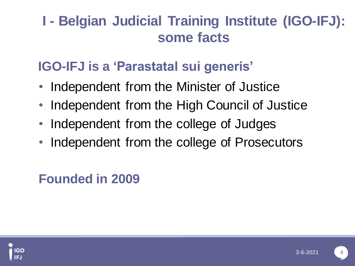### **I - Belgian Judicial Training Institute (IGO-IFJ): some facts**

#### **IGO-IFJ is a 'Parastatal sui generis'**

- Independent from the Minister of Justice
- Independent from the High Council of Justice
- Independent from the college of Judges
- Independent from the college of Prosecutors

#### **Founded in 2009**

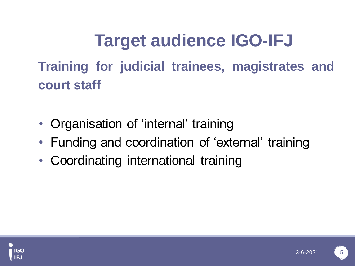## **Target audience IGO-IFJ Training for judicial trainees, magistrates and court staff**

- Organisation of 'internal' training
- Funding and coordination of 'external' training
- Coordinating international training

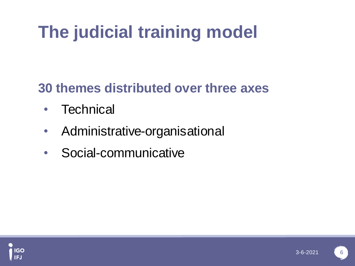## **The judicial training model**

#### **30 themes distributed over three axes**

- Technical
- Administrative-organisational
- Social-communicative

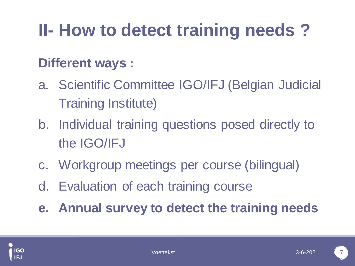## **II- How to detect training needs ?**

#### **Different ways :**

- a. Scientific Committee IGO/IFJ (Belgian Judicial Training Institute)
- b. Individual training questions posed directly to the IGO/IFJ
- c. Workgroup meetings per course (bilingual)
- d. Evaluation of each training course
- **e. Annual survey to detect the training needs**

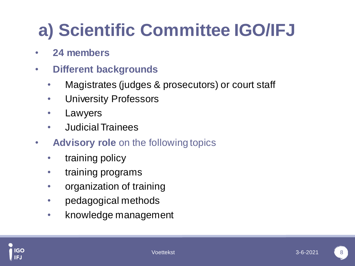## **a) Scientific Committee IGO/IFJ**

- **24 members**
- **Different backgrounds**
	- Magistrates (judges & prosecutors) or court staff
	- University Professors
	- Lawyers
	- Judicial Trainees
- **Advisory role** on the following topics
	- training policy
	- training programs
	- organization of training
	- pedagogical methods
	- knowledge management

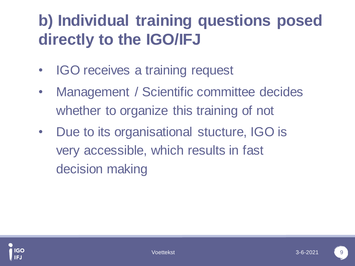## **b) Individual training questions posed directly to the IGO/IFJ**

- IGO receives a training request
- Management / Scientific committee decides whether to organize this training of not
- Due to its organisational stucture, IGO is very accessible, which results in fast decision making

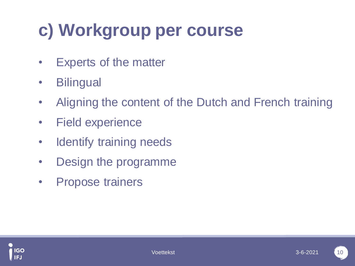## **c) Workgroup per course**

- Experts of the matter
- Bilingual
- Aligning the content of the Dutch and French training
- Field experience
- Identify training needs
- Design the programme
- Propose trainers



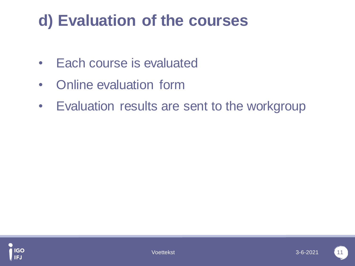## **d) Evaluation of the courses**

- Each course is evaluated
- Online evaluation form
- Evaluation results are sent to the workgroup



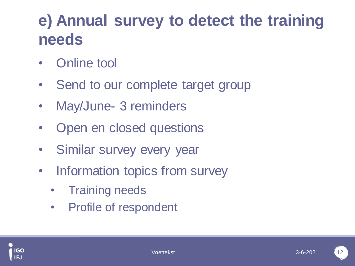## **e) Annual survey to detect the training needs**

- Online tool
- Send to our complete target group
- May/June- 3 reminders
- Open en closed questions
- Similar survey every year
- Information topics from survey
	- **Training needs**
	- Profile of respondent

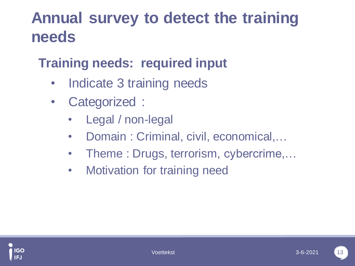## **Annual survey to detect the training needs**

#### **Training needs: required input**

- Indicate 3 training needs
- Categorized :
	- Legal / non-legal
	- Domain : Criminal, civil, economical,…
	- Theme: Drugs, terrorism, cybercrime,...
	- Motivation for training need

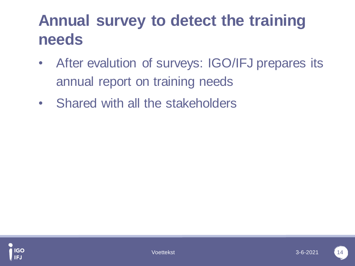### **Annual survey to detect the training needs**

- After evalution of surveys: IGO/IFJ prepares its annual report on training needs
- Shared with all the stakeholders



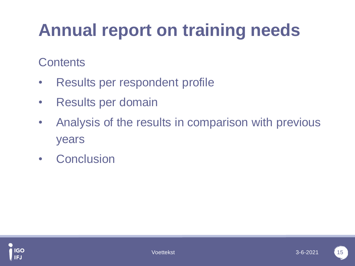## **Annual report on training needs**

**Contents** 

- Results per respondent profile
- Results per domain
- Analysis of the results in comparison with previous years
- Conclusion



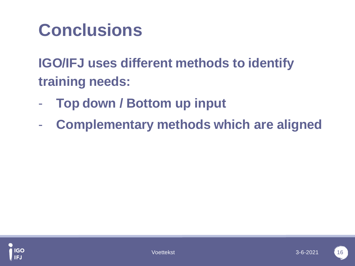## **Conclusions**

**IGO/IFJ uses different methods to identify training needs:**

- **Top down / Bottom up input**
- **Complementary methods which are aligned**

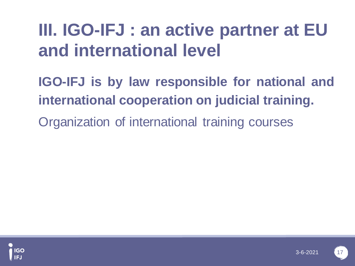## **III. IGO-IFJ : an active partner at EU and international level**

**IGO-IFJ is by law responsible for national and international cooperation on judicial training.**

Organization of international training courses

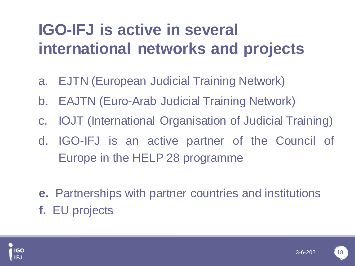## **IGO-IFJ is active in several international networks and projects**

- a. EJTN (European Judicial Training Network)
- b. EAJTN (Euro-Arab Judicial Training Network)
- c. IOJT (International Organisation of Judicial Training)
- d. IGO-IFJ is an active partner of the Council of Europe in the HELP 28 programme
- **e.** Partnerships with partner countries and institutions **f.** EU projects

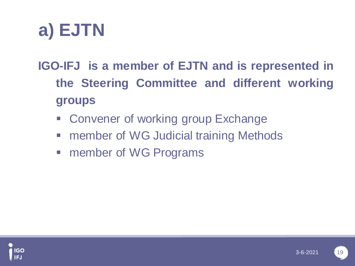# **a) EJTN**

- **IGO-IFJ is a member of EJTN and is represented in the Steering Committee and different working groups**
	- **EXECONCERGO CONVERGO CONCOCO CONCOCO EXCHANGE**
	- **n** member of WG Judicial training Methods
	- member of WG Programs

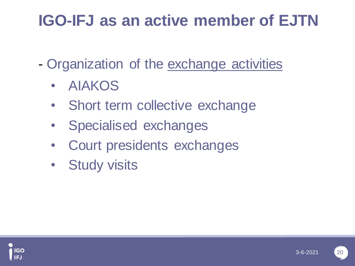### **IGO-IFJ as an active member of EJTN**

- Organization of the exchange activities
	- AIAKOS
	- Short term collective exchange
	- Specialised exchanges
	- Court presidents exchanges
	- Study visits

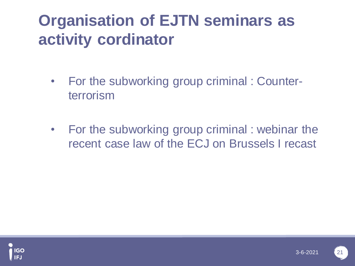## **Organisation of EJTN seminars as activity cordinator**

- For the subworking group criminal : Counterterrorism
- For the subworking group criminal : webinar the recent case law of the ECJ on Brussels I recast



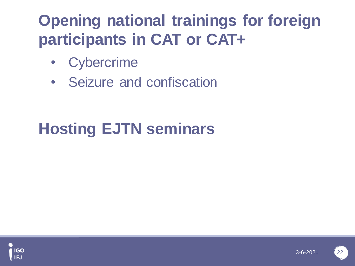## **Opening national trainings for foreign participants in CAT or CAT+**

- Cybercrime
- Seizure and confiscation

## **Hosting EJTN seminars**



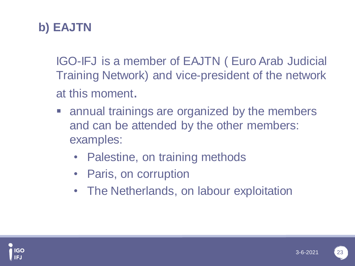

IGO-IFJ is a member of EAJTN ( Euro Arab Judicial Training Network) and vice-president of the network at this moment.

- annual trainings are organized by the members and can be attended by the other members: examples:
	- Palestine, on training methods
	- Paris, on corruption
	- The Netherlands, on labour exploitation



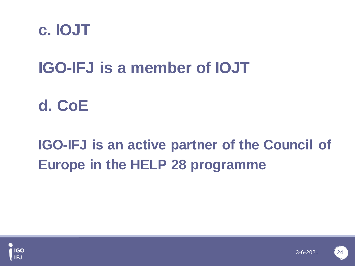

### **IGO-IFJ is a member of IOJT**

**d. CoE**

### **IGO-IFJ is an active partner of the Council of Europe in the HELP 28 programme**



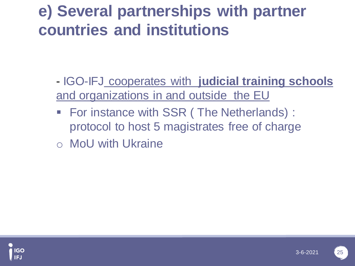### **e) Several partnerships with partner countries and institutions**

- IGO-IFJ cooperates with **judicial training schools**  and organizations in and outside the EU
- **For instance with SSR (The Netherlands):** protocol to host 5 magistrates free of charge
- o MoU with Ukraine



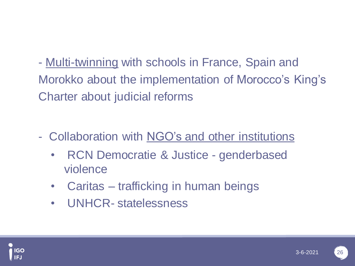- Multi-twinning with schools in France, Spain and Morokko about the implementation of Morocco's King's Charter about judicial reforms

- Collaboration with NGO's and other institutions

- RCN Democratie & Justice genderbased violence
- Caritas trafficking in human beings
- UNHCR- statelessness

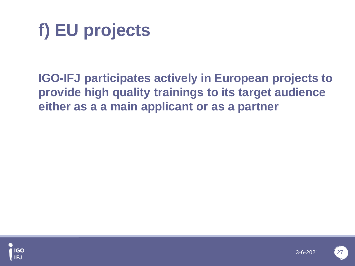

**IGO-IFJ participates actively in European projects to provide high quality trainings to its target audience either as a a main applicant or as a partner**



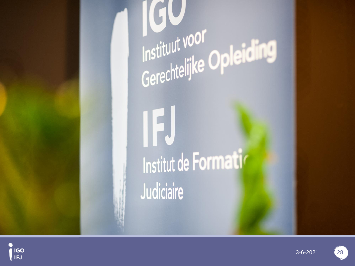